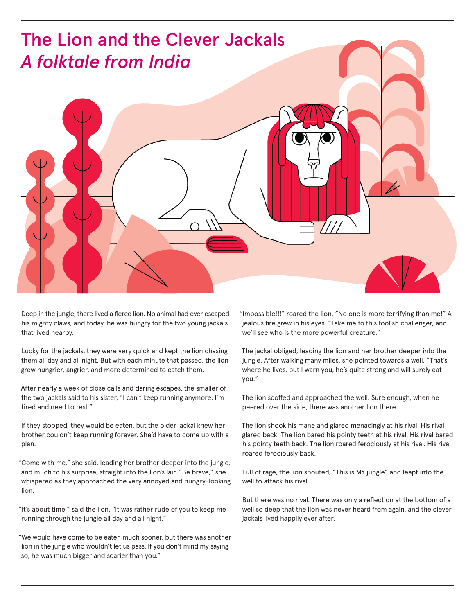

Deep in the jungle, there lived a fierce lion. No animal had ever escaped his mighty claws, and today, he was hungry for the two young jackals that lived nearby.

Lucky for the jackals, they were very quick and kept the lion chasing them all day and all night. But with each minute that passed, the lion grew hungrier, angrier, and more determined to catch them.

After nearly a week of close calls and daring escapes, the smaller of the two jackals said to his sister, "I can't keep running anymore. I'm tired and need to rest."

If they stopped, they would be eaten, but the older jackal knew her brother couldn't keep running forever. She'd have to come up with a plan.

"Come with me," she said, leading her brother deeper into the jungle, and much to his surprise, straight into the lion's lair. "Be brave," she whispered as they approached the very annoyed and hungry-looking lion.

"It's about time," said the lion. "It was rather rude of you to keep me running through the jungle all day and all night."

"We would have come to be eaten much sooner, but there was another lion in the jungle who wouldn't let us pass. If you don't mind my saying so, he was much bigger and scarier than you."

"Impossible!!!" roared the lion. "No one is more terrifying than me!" A jealous fire grew in his eyes. "Take me to this foolish challenger, and we'll see who is the more powerful creature."

The jackal obliged, leading the lion and her brother deeper into the jungle. After walking many miles, she pointed towards a well. "That's where he lives, but I warn you, he's quite strong and will surely eat you."

The lion scoffed and approached the well. Sure enough, when he peered over the side, there was another lion there.

The lion shook his mane and glared menacingly at his rival. His rival glared back. The lion bared his pointy teeth at his rival. His rival bared his pointy teeth back. The lion roared ferociously at his rival. His rival roared ferociously back.

Full of rage, the lion shouted, "This is MY jungle" and leapt into the well to attack his rival.

But there was no rival. There was only a reflection at the bottom of a well so deep that the lion was never heard from again, and the clever jackals lived happily ever after.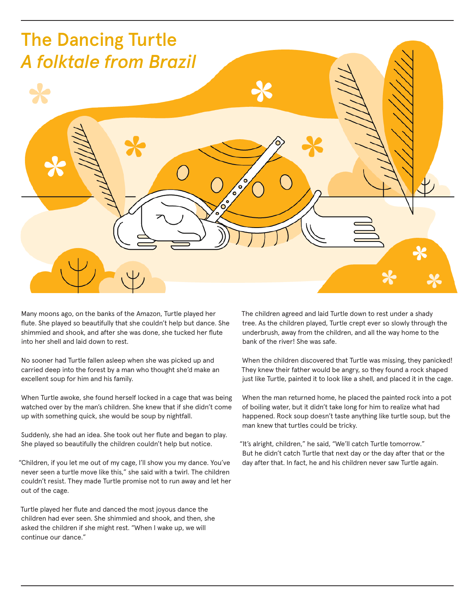

Many moons ago, on the banks of the Amazon, Turtle played her flute. She played so beautifully that she couldn't help but dance. She shimmied and shook, and after she was done, she tucked her flute into her shell and laid down to rest.

No sooner had Turtle fallen asleep when she was picked up and carried deep into the forest by a man who thought she'd make an excellent soup for him and his family.

When Turtle awoke, she found herself locked in a cage that was being watched over by the man's children. She knew that if she didn't come up with something quick, she would be soup by nightfall.

Suddenly, she had an idea. She took out her flute and began to play. She played so beautifully the children couldn't help but notice.

"Children, if you let me out of my cage, I'll show you my dance. You've never seen a turtle move like this," she said with a twirl. The children couldn't resist. They made Turtle promise not to run away and let her out of the cage.

Turtle played her flute and danced the most joyous dance the children had ever seen. She shimmied and shook, and then, she asked the children if she might rest. "When I wake up, we will continue our dance."

The children agreed and laid Turtle down to rest under a shady tree. As the children played, Turtle crept ever so slowly through the underbrush, away from the children, and all the way home to the bank of the river! She was safe.

When the children discovered that Turtle was missing, they panicked! They knew their father would be angry, so they found a rock shaped just like Turtle, painted it to look like a shell, and placed it in the cage.

When the man returned home, he placed the painted rock into a pot of boiling water, but it didn't take long for him to realize what had happened. Rock soup doesn't taste anything like turtle soup, but the man knew that turtles could be tricky.

"It's alright, children," he said, "We'll catch Turtle tomorrow." But he didn't catch Turtle that next day or the day after that or the day after that. In fact, he and his children never saw Turtle again.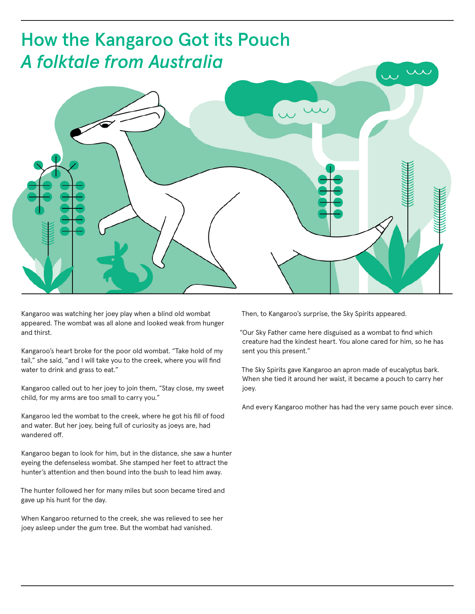

Kangaroo was watching her joey play when a blind old wombat appeared. The wombat was all alone and looked weak from hunger and thirst.

Kangaroo's heart broke for the poor old wombat. "Take hold of my tail," she said, "and I will take you to the creek, where you will find water to drink and grass to eat."

Kangaroo called out to her joey to join them, "Stay close, my sweet child, for my arms are too small to carry you."

Kangaroo led the wombat to the creek, where he got his fill of food and water. But her joey, being full of curiosity as joeys are, had wandered off.

Kangaroo began to look for him, but in the distance, she saw a hunter eyeing the defenseless wombat. She stamped her feet to attract the hunter's attention and then bound into the bush to lead him away.

The hunter followed her for many miles but soon became tired and gave up his hunt for the day.

When Kangaroo returned to the creek, she was relieved to see her joey asleep under the gum tree. But the wombat had vanished.

Then, to Kangaroo's surprise, the Sky Spirits appeared.

"Our Sky Father came here disguised as a wombat to find which creature had the kindest heart. You alone cared for him, so he has sent you this present."

The Sky Spirits gave Kangaroo an apron made of eucalyptus bark. When she tied it around her waist, it became a pouch to carry her joey.

And every Kangaroo mother has had the very same pouch ever since.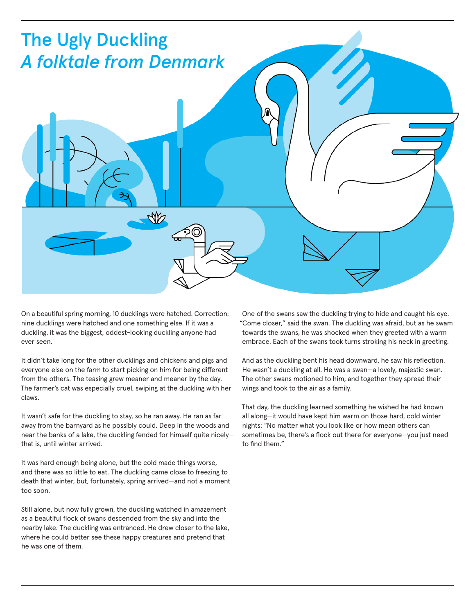

On a beautiful spring morning, 10 ducklings were hatched. Correction: nine ducklings were hatched and one something else. If it was a duckling, it was the biggest, oddest-looking duckling anyone had ever seen.

It didn't take long for the other ducklings and chickens and pigs and everyone else on the farm to start picking on him for being different from the others. The teasing grew meaner and meaner by the day. The farmer's cat was especially cruel, swiping at the duckling with her claws.

It wasn't safe for the duckling to stay, so he ran away. He ran as far away from the barnyard as he possibly could. Deep in the woods and near the banks of a lake, the duckling fended for himself quite nicely that is, until winter arrived.

It was hard enough being alone, but the cold made things worse, and there was so little to eat. The duckling came close to freezing to death that winter, but, fortunately, spring arrived—and not a moment too soon.

Still alone, but now fully grown, the duckling watched in amazement as a beautiful flock of swans descended from the sky and into the nearby lake. The duckling was entranced. He drew closer to the lake, where he could better see these happy creatures and pretend that he was one of them.

One of the swans saw the duckling trying to hide and caught his eye. "Come closer," said the swan. The duckling was afraid, but as he swam towards the swans, he was shocked when they greeted with a warm embrace. Each of the swans took turns stroking his neck in greeting.

And as the duckling bent his head downward, he saw his reflection. He wasn't a duckling at all. He was a swan—a lovely, majestic swan. The other swans motioned to him, and together they spread their wings and took to the air as a family.

That day, the duckling learned something he wished he had known all along—it would have kept him warm on those hard, cold winter nights: "No matter what you look like or how mean others can sometimes be, there's a flock out there for everyone—you just need to find them."